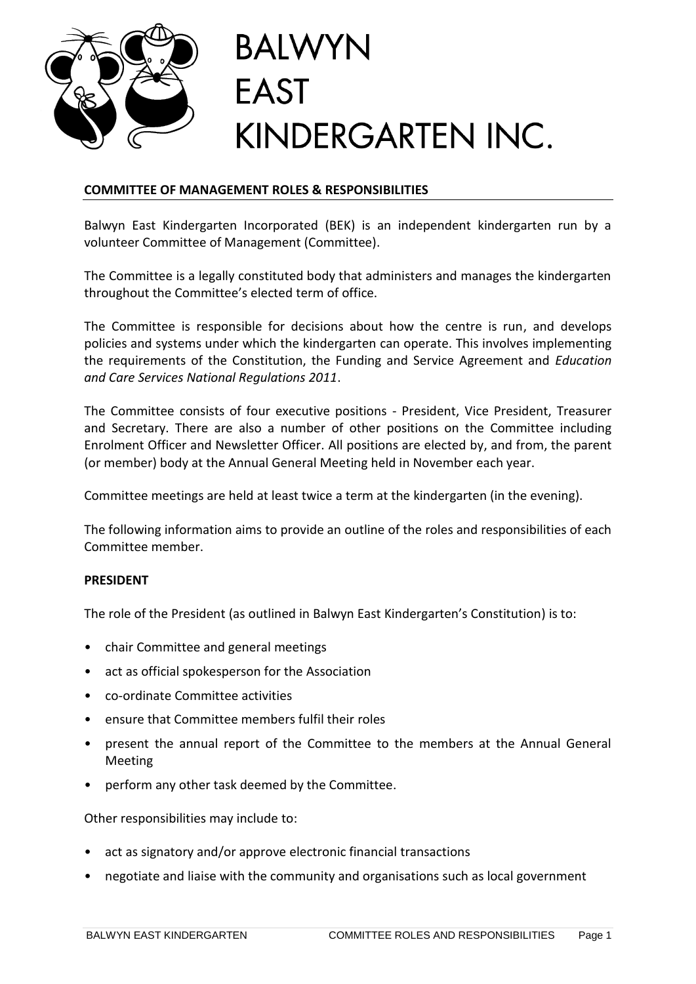

# **COMMITTEE OF MANAGEMENT ROLES & RESPONSIBILITIES**

Balwyn East Kindergarten Incorporated (BEK) is an independent kindergarten run by a volunteer Committee of Management (Committee).

The Committee is a legally constituted body that administers and manages the kindergarten throughout the Committee's elected term of office.

The Committee is responsible for decisions about how the centre is run, and develops policies and systems under which the kindergarten can operate. This involves implementing the requirements of the Constitution, the Funding and Service Agreement and *Education and Care Services National Regulations 2011*.

The Committee consists of four executive positions - President, Vice President, Treasurer and Secretary. There are also a number of other positions on the Committee including Enrolment Officer and Newsletter Officer. All positions are elected by, and from, the parent (or member) body at the Annual General Meeting held in November each year.

Committee meetings are held at least twice a term at the kindergarten (in the evening).

The following information aims to provide an outline of the roles and responsibilities of each Committee member.

#### **PRESIDENT**

The role of the President (as outlined in Balwyn East Kindergarten's Constitution) is to:

- chair Committee and general meetings
- act as official spokesperson for the Association
- co-ordinate Committee activities
- ensure that Committee members fulfil their roles
- present the annual report of the Committee to the members at the Annual General Meeting
- perform any other task deemed by the Committee.

Other responsibilities may include to:

- act as signatory and/or approve electronic financial transactions
- negotiate and liaise with the community and organisations such as local government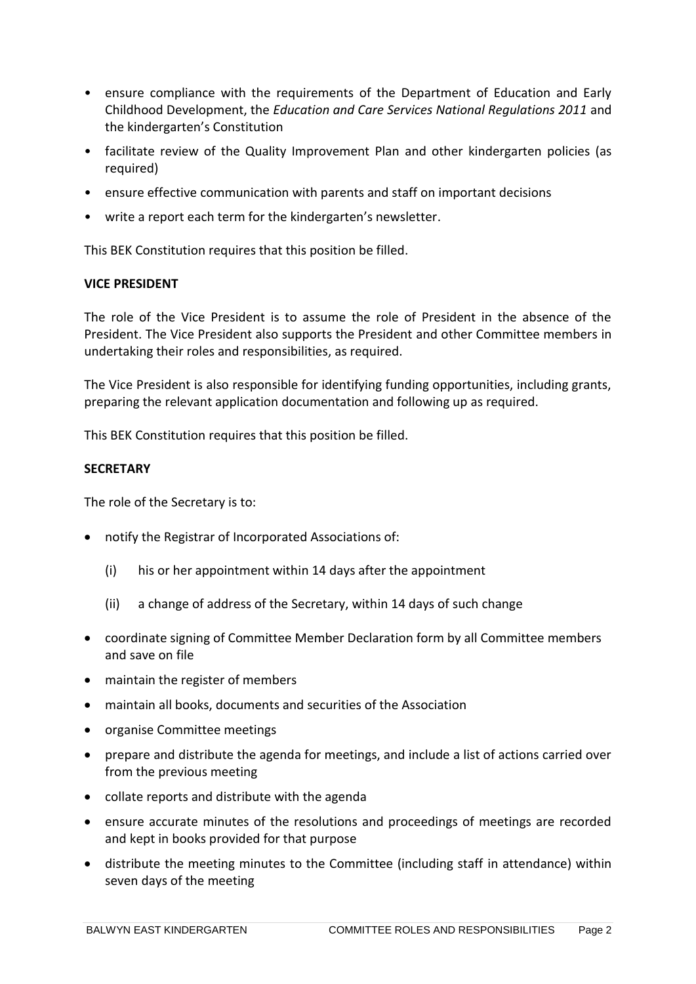- ensure compliance with the requirements of the Department of Education and Early Childhood Development, the *Education and Care Services National Regulations 2011* and the kindergarten's Constitution
- facilitate review of the Quality Improvement Plan and other kindergarten policies (as required)
- ensure effective communication with parents and staff on important decisions
- write a report each term for the kindergarten's newsletter.

This BEK Constitution requires that this position be filled.

# **VICE PRESIDENT**

The role of the Vice President is to assume the role of President in the absence of the President. The Vice President also supports the President and other Committee members in undertaking their roles and responsibilities, as required.

The Vice President is also responsible for identifying funding opportunities, including grants, preparing the relevant application documentation and following up as required.

This BEK Constitution requires that this position be filled.

# **SECRETARY**

The role of the Secretary is to:

- notify the Registrar of Incorporated Associations of:
	- (i) his or her appointment within 14 days after the appointment
	- (ii) a change of address of the Secretary, within 14 days of such change
- coordinate signing of Committee Member Declaration form by all Committee members and save on file
- maintain the register of members
- maintain all books, documents and securities of the Association
- organise Committee meetings
- prepare and distribute the agenda for meetings, and include a list of actions carried over from the previous meeting
- collate reports and distribute with the agenda
- ensure accurate minutes of the resolutions and proceedings of meetings are recorded and kept in books provided for that purpose
- distribute the meeting minutes to the Committee (including staff in attendance) within seven days of the meeting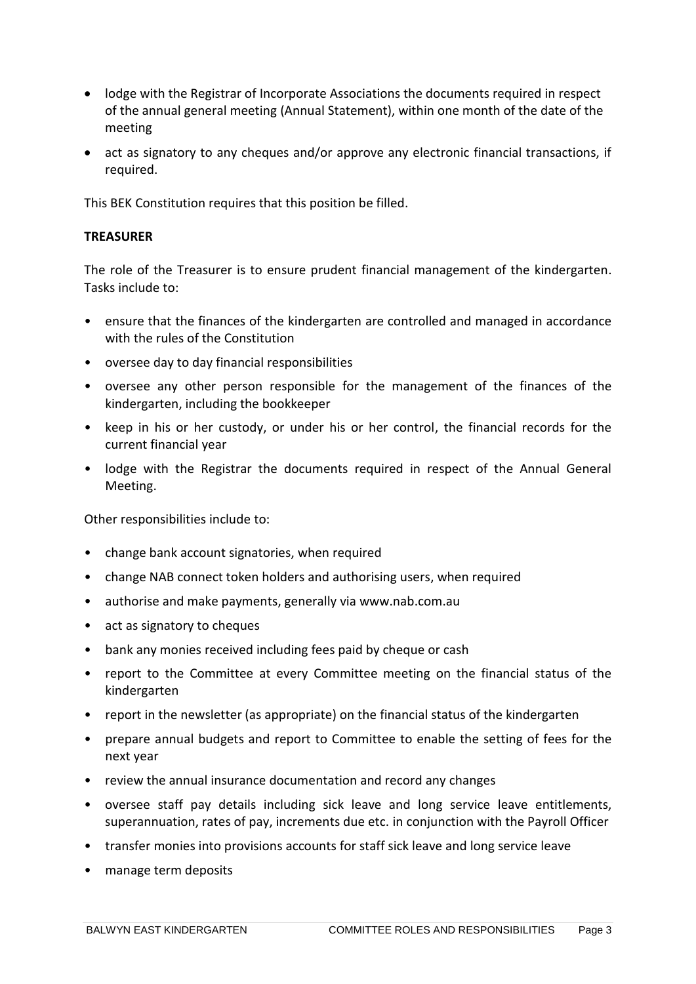- lodge with the Registrar of Incorporate Associations the documents required in respect of the annual general meeting (Annual Statement), within one month of the date of the meeting
- act as signatory to any cheques and/or approve any electronic financial transactions, if required.

This BEK Constitution requires that this position be filled.

### **TREASURER**

The role of the Treasurer is to ensure prudent financial management of the kindergarten. Tasks include to:

- ensure that the finances of the kindergarten are controlled and managed in accordance with the rules of the Constitution
- oversee day to day financial responsibilities
- oversee any other person responsible for the management of the finances of the kindergarten, including the bookkeeper
- keep in his or her custody, or under his or her control, the financial records for the current financial year
- lodge with the Registrar the documents required in respect of the Annual General Meeting.

Other responsibilities include to:

- change bank account signatories, when required
- change NAB connect token holders and authorising users, when required
- authorise and make payments, generally via www.nab.com.au
- act as signatory to cheques
- bank any monies received including fees paid by cheque or cash
- report to the Committee at every Committee meeting on the financial status of the kindergarten
- report in the newsletter (as appropriate) on the financial status of the kindergarten
- prepare annual budgets and report to Committee to enable the setting of fees for the next year
- review the annual insurance documentation and record any changes
- oversee staff pay details including sick leave and long service leave entitlements, superannuation, rates of pay, increments due etc. in conjunction with the Payroll Officer
- transfer monies into provisions accounts for staff sick leave and long service leave
- manage term deposits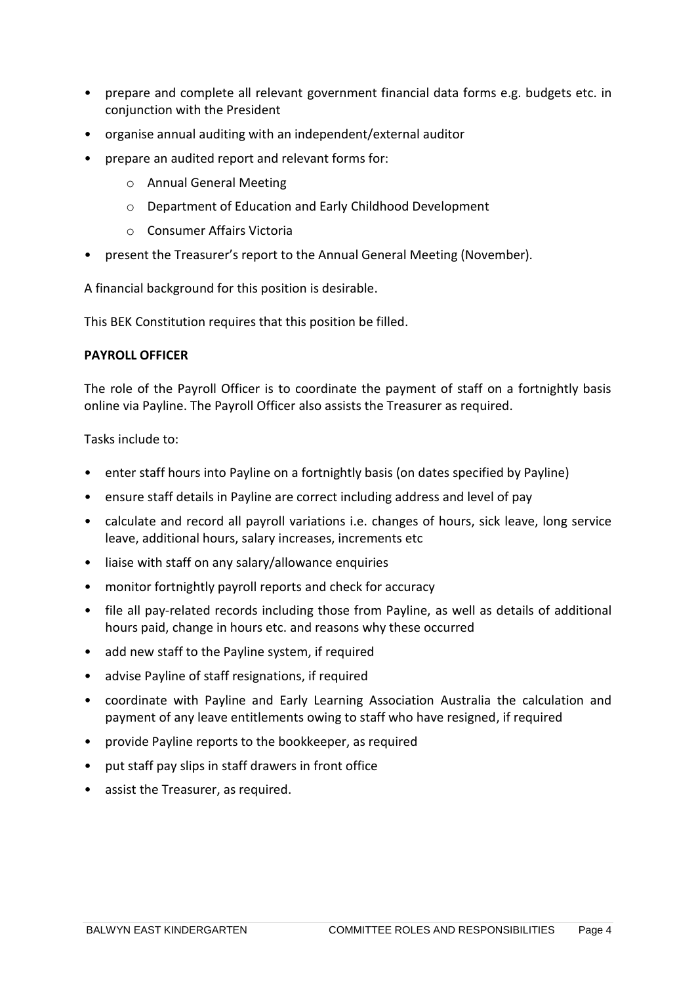- prepare and complete all relevant government financial data forms e.g. budgets etc. in conjunction with the President
- organise annual auditing with an independent/external auditor
- prepare an audited report and relevant forms for:
	- o Annual General Meeting
	- o Department of Education and Early Childhood Development
	- o Consumer Affairs Victoria
- present the Treasurer's report to the Annual General Meeting (November).

A financial background for this position is desirable.

This BEK Constitution requires that this position be filled.

#### **PAYROLL OFFICER**

The role of the Payroll Officer is to coordinate the payment of staff on a fortnightly basis online via Payline. The Payroll Officer also assists the Treasurer as required.

Tasks include to:

- enter staff hours into Payline on a fortnightly basis (on dates specified by Payline)
- ensure staff details in Payline are correct including address and level of pay
- calculate and record all payroll variations i.e. changes of hours, sick leave, long service leave, additional hours, salary increases, increments etc
- liaise with staff on any salary/allowance enquiries
- monitor fortnightly payroll reports and check for accuracy
- file all pay-related records including those from Payline, as well as details of additional hours paid, change in hours etc. and reasons why these occurred
- add new staff to the Payline system, if required
- advise Payline of staff resignations, if required
- coordinate with Payline and Early Learning Association Australia the calculation and payment of any leave entitlements owing to staff who have resigned, if required
- provide Payline reports to the bookkeeper, as required
- put staff pay slips in staff drawers in front office
- assist the Treasurer, as required.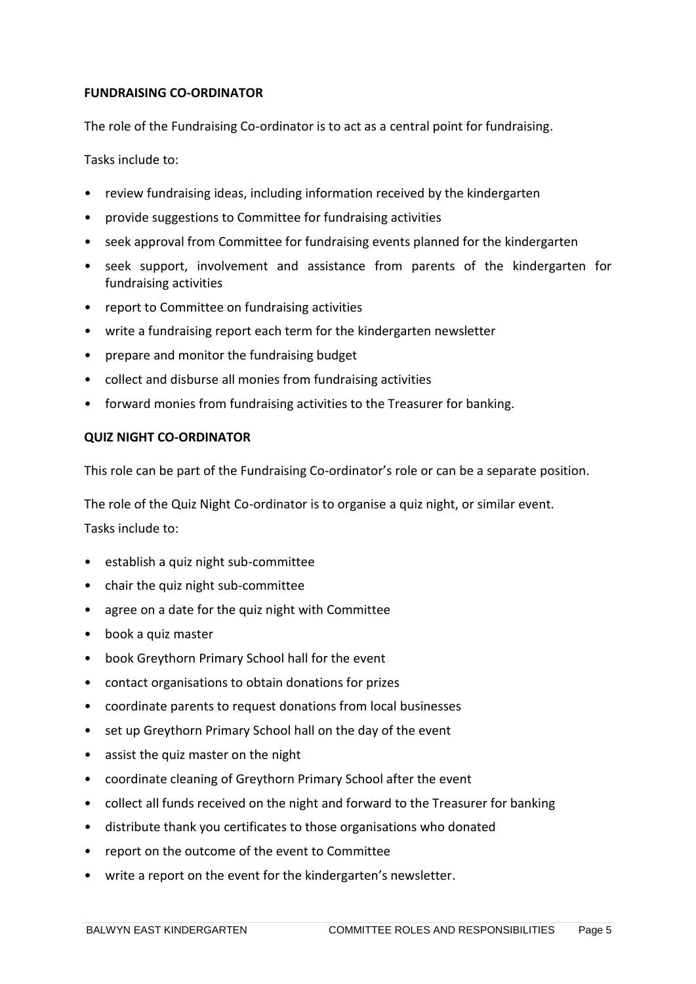# **FUNDRAISING CO-ORDINATOR**

The role of the Fundraising Co-ordinator is to act as a central point for fundraising.

Tasks include to:

- review fundraising ideas, including information received by the kindergarten
- provide suggestions to Committee for fundraising activities
- seek approval from Committee for fundraising events planned for the kindergarten
- seek support, involvement and assistance from parents of the kindergarten for fundraising activities
- report to Committee on fundraising activities
- write a fundraising report each term for the kindergarten newsletter
- prepare and monitor the fundraising budget
- collect and disburse all monies from fundraising activities
- forward monies from fundraising activities to the Treasurer for banking.

#### **QUIZ NIGHT CO-ORDINATOR**

This role can be part of the Fundraising Co-ordinator's role or can be a separate position.

The role of the Quiz Night Co-ordinator is to organise a quiz night, or similar event.

Tasks include to:

- establish a quiz night sub-committee
- chair the quiz night sub-committee
- agree on a date for the quiz night with Committee
- book a quiz master
- book Greythorn Primary School hall for the event
- contact organisations to obtain donations for prizes
- coordinate parents to request donations from local businesses
- set up Greythorn Primary School hall on the day of the event
- assist the quiz master on the night
- coordinate cleaning of Greythorn Primary School after the event
- collect all funds received on the night and forward to the Treasurer for banking
- distribute thank you certificates to those organisations who donated
- report on the outcome of the event to Committee
- write a report on the event for the kindergarten's newsletter.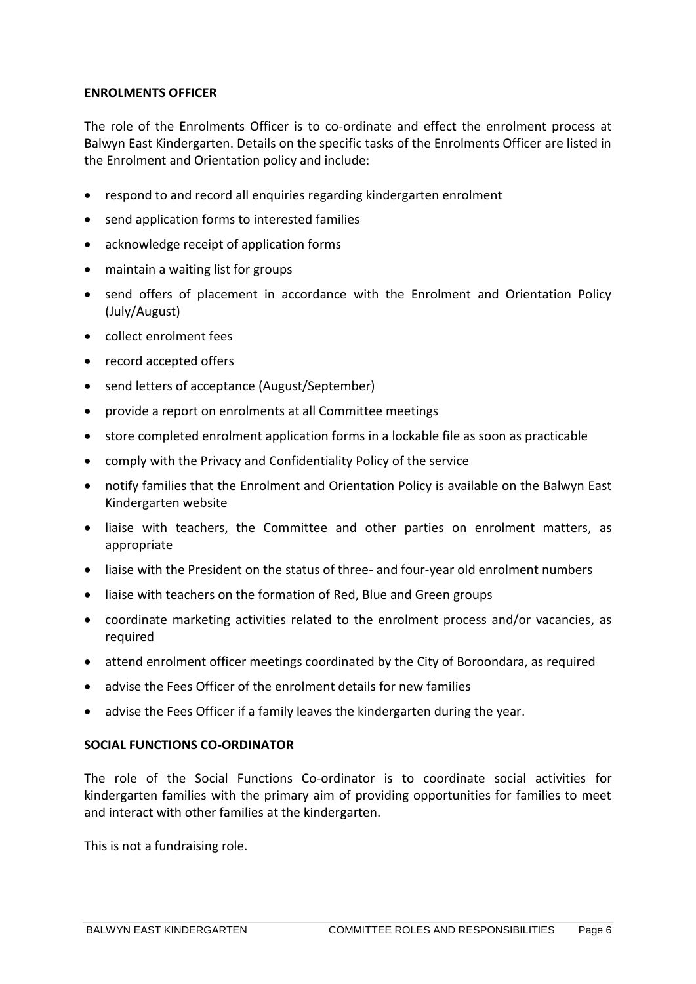#### **ENROLMENTS OFFICER**

The role of the Enrolments Officer is to co-ordinate and effect the enrolment process at Balwyn East Kindergarten. Details on the specific tasks of the Enrolments Officer are listed in the Enrolment and Orientation policy and include:

- respond to and record all enquiries regarding kindergarten enrolment
- send application forms to interested families
- acknowledge receipt of application forms
- maintain a waiting list for groups
- send offers of placement in accordance with the Enrolment and Orientation Policy (July/August)
- collect enrolment fees
- record accepted offers
- send letters of acceptance (August/September)
- provide a report on enrolments at all Committee meetings
- store completed enrolment application forms in a lockable file as soon as practicable
- comply with the Privacy and Confidentiality Policy of the service
- notify families that the Enrolment and Orientation Policy is available on the Balwyn East Kindergarten website
- liaise with teachers, the Committee and other parties on enrolment matters, as appropriate
- liaise with the President on the status of three- and four-year old enrolment numbers
- liaise with teachers on the formation of Red, Blue and Green groups
- coordinate marketing activities related to the enrolment process and/or vacancies, as required
- attend enrolment officer meetings coordinated by the City of Boroondara, as required
- advise the Fees Officer of the enrolment details for new families
- advise the Fees Officer if a family leaves the kindergarten during the year.

#### **SOCIAL FUNCTIONS CO-ORDINATOR**

The role of the Social Functions Co-ordinator is to coordinate social activities for kindergarten families with the primary aim of providing opportunities for families to meet and interact with other families at the kindergarten.

This is not a fundraising role.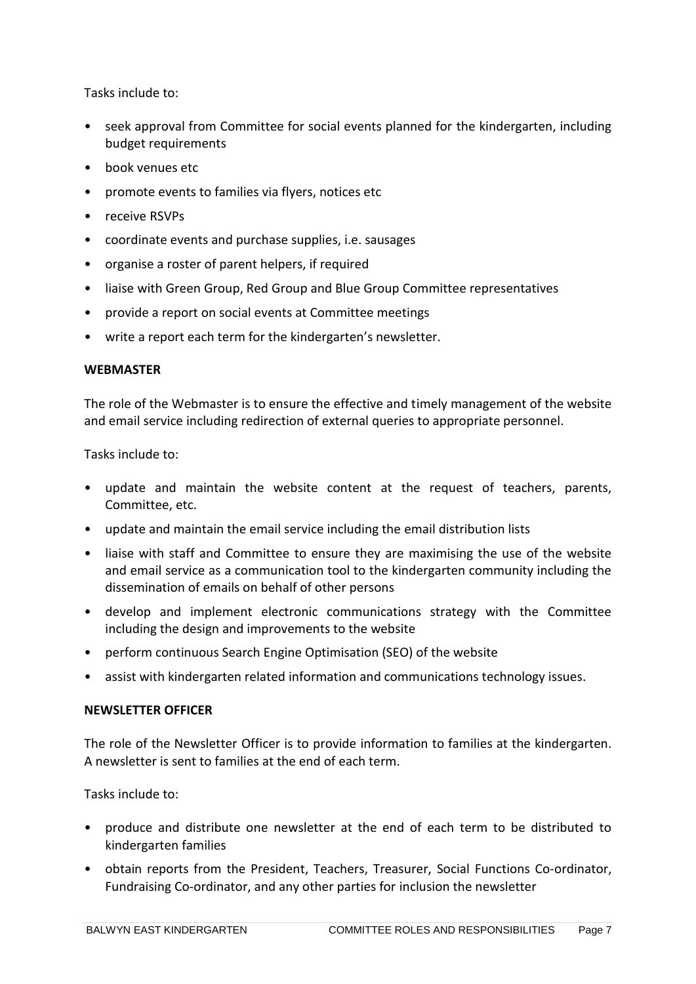Tasks include to:

- seek approval from Committee for social events planned for the kindergarten, including budget requirements
- book venues etc
- promote events to families via flyers, notices etc
- receive RSVPs
- coordinate events and purchase supplies, i.e. sausages
- organise a roster of parent helpers, if required
- liaise with Green Group, Red Group and Blue Group Committee representatives
- provide a report on social events at Committee meetings
- write a report each term for the kindergarten's newsletter.

#### **WEBMASTER**

The role of the Webmaster is to ensure the effective and timely management of the website and email service including redirection of external queries to appropriate personnel.

Tasks include to:

- update and maintain the website content at the request of teachers, parents, Committee, etc.
- update and maintain the email service including the email distribution lists
- liaise with staff and Committee to ensure they are maximising the use of the website and email service as a communication tool to the kindergarten community including the dissemination of emails on behalf of other persons
- develop and implement electronic communications strategy with the Committee including the design and improvements to the website
- perform continuous Search Engine Optimisation (SEO) of the website
- assist with kindergarten related information and communications technology issues.

### **NEWSLETTER OFFICER**

The role of the Newsletter Officer is to provide information to families at the kindergarten. A newsletter is sent to families at the end of each term.

Tasks include to:

- produce and distribute one newsletter at the end of each term to be distributed to kindergarten families
- obtain reports from the President, Teachers, Treasurer, Social Functions Co-ordinator, Fundraising Co-ordinator, and any other parties for inclusion the newsletter